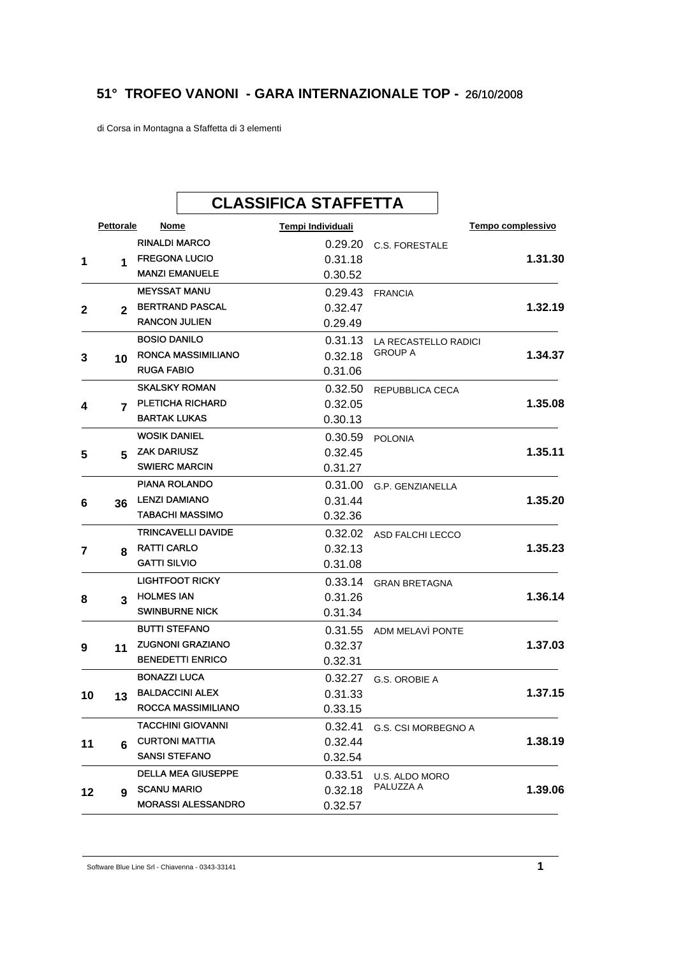## **51° TROFEO VANONI - GARA INTERNAZIONALE TOP -** 26/10/2008

di Corsa in Montagna a Sfaffetta di 3 elementi

|    |              |                      | <b>CLASSIFICA STAFFETTA</b> |                   |                       |  |                   |
|----|--------------|----------------------|-----------------------------|-------------------|-----------------------|--|-------------------|
|    | Pettorale    | Nome                 |                             | Tempi Individuali |                       |  | Tempo complessivo |
|    |              | <b>RINALDI MARCO</b> |                             | 0.29.20           | <b>C.S. FORESTALE</b> |  |                   |
| 1  | 1            |                      | <b>FREGONA LUCIO</b>        | 0.31.18           |                       |  | 1.31.30           |
|    |              |                      | <b>MANZI EMANUELE</b>       | 0.30.52           |                       |  |                   |
|    |              | <b>MEYSSAT MANU</b>  |                             | 0.29.43           | <b>FRANCIA</b>        |  |                   |
| 2  | $\mathbf{2}$ |                      | <b>BERTRAND PASCAL</b>      | 0.32.47           |                       |  | 1.32.19           |
|    |              | <b>RANCON JULIEN</b> |                             | 0.29.49           |                       |  |                   |
|    |              | <b>BOSIO DANILO</b>  |                             | 0.31.13           | LA RECASTELLO RADICI  |  |                   |
| 3  | 10           |                      | <b>RONCA MASSIMILIANO</b>   | 0.32.18           | <b>GROUP A</b>        |  | 1.34.37           |
|    |              | <b>RUGA FABIO</b>    |                             | 0.31.06           |                       |  |                   |
|    |              |                      | <b>SKALSKY ROMAN</b>        | 0.32.50           | REPUBBLICA CECA       |  |                   |
| 4  | 7            |                      | <b>PLETICHA RICHARD</b>     | 0.32.05           |                       |  | 1.35.08           |
|    |              | <b>BARTAK LUKAS</b>  |                             | 0.30.13           |                       |  |                   |
|    |              | <b>WOSIK DANIEL</b>  |                             | 0.30.59           | <b>POLONIA</b>        |  |                   |
| 5  | 5.           | <b>ZAK DARIUSZ</b>   |                             | 0.32.45           |                       |  | 1.35.11           |
|    |              | <b>SWIERC MARCIN</b> |                             | 0.31.27           |                       |  |                   |
|    |              |                      | <b>PIANA ROLANDO</b>        | 0.31.00           | G.P. GENZIANELLA      |  |                   |
| 6  | 36           | <b>LENZI DAMIANO</b> |                             | 0.31.44           |                       |  | 1.35.20           |
|    |              |                      | <b>TABACHI MASSIMO</b>      | 0.32.36           |                       |  |                   |
|    |              |                      | <b>TRINCAVELLI DAVIDE</b>   | 0.32.02           | ASD FALCHI LECCO      |  |                   |
| 7  | 8            | <b>RATTI CARLO</b>   |                             | 0.32.13           |                       |  | 1.35.23           |
|    |              | <b>GATTI SILVIO</b>  |                             | 0.31.08           |                       |  |                   |
|    |              |                      | <b>LIGHTFOOT RICKY</b>      | 0.33.14           | <b>GRAN BRETAGNA</b>  |  |                   |
| 8  | 3            | <b>HOLMES IAN</b>    |                             | 0.31.26           |                       |  | 1.36.14           |
|    |              |                      | <b>SWINBURNE NICK</b>       | 0.31.34           |                       |  |                   |
|    |              | <b>BUTTI STEFANO</b> |                             | 0.31.55           | ADM MELAVÌ PONTE      |  |                   |
| 9  | 11           |                      | <b>ZUGNONI GRAZIANO</b>     | 0.32.37           |                       |  | 1.37.03           |
|    |              |                      | <b>BENEDETTI ENRICO</b>     | 0.32.31           |                       |  |                   |
|    |              | <b>BONAZZI LUCA</b>  |                             | 0.32.27           | G.S. OROBIE A         |  |                   |
| 10 | 13           |                      | <b>BALDACCINI ALEX</b>      | 0.31.33           |                       |  | 1.37.15           |
|    |              |                      | ROCCA MASSIMILIANO          | 0.33.15           |                       |  |                   |
|    |              |                      | <b>TACCHINI GIOVANNI</b>    | 0.32.41           | G.S. CSI MORBEGNO A   |  |                   |
| 11 | 6            |                      | <b>CURTONI MATTIA</b>       | 0.32.44           |                       |  | 1.38.19           |
|    |              | <b>SANSI STEFANO</b> |                             | 0.32.54           |                       |  |                   |
|    |              |                      | <b>DELLA MEA GIUSEPPE</b>   | 0.33.51           | U.S. ALDO MORO        |  |                   |
| 12 | 9            | <b>SCANU MARIO</b>   |                             | 0.32.18           | PALUZZA A             |  | 1.39.06           |
|    |              |                      | <b>MORASSI ALESSANDRO</b>   | 0.32.57           |                       |  |                   |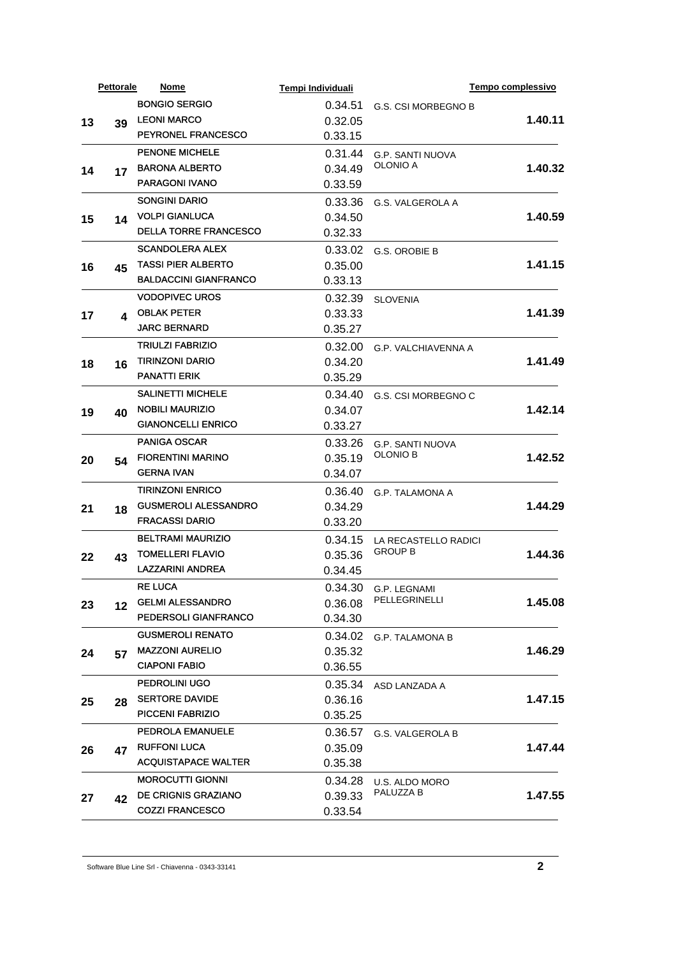|    | <b>Pettorale</b> | Nome                         | Tempi Individuali |                             | Tempo complessivo |
|----|------------------|------------------------------|-------------------|-----------------------------|-------------------|
|    |                  | <b>BONGIO SERGIO</b>         | 0.34.51           | G.S. CSI MORBEGNO B         |                   |
| 13 | 39               | <b>LEONI MARCO</b>           | 0.32.05           |                             | 1.40.11           |
|    |                  | <b>PEYRONEL FRANCESCO</b>    | 0.33.15           |                             |                   |
|    |                  | <b>PENONE MICHELE</b>        | 0.31.44           | <b>G.P. SANTI NUOVA</b>     |                   |
| 14 | 17               | <b>BARONA ALBERTO</b>        | 0.34.49           | OLONIO A                    | 1.40.32           |
|    |                  | <b>PARAGONI IVANO</b>        | 0.33.59           |                             |                   |
|    |                  | SONGINI DARIO                | 0.33.36           | G.S. VALGEROLA A            |                   |
| 15 | 14               | <b>VOLPI GIANLUCA</b>        | 0.34.50           |                             | 1.40.59           |
|    |                  | <b>DELLA TORRE FRANCESCO</b> | 0.32.33           |                             |                   |
|    |                  | <b>SCANDOLERA ALEX</b>       | 0.33.02           | G.S. OROBIE B               |                   |
| 16 | 45               | <b>TASSI PIER ALBERTO</b>    | 0.35.00           |                             | 1.41.15           |
|    |                  | <b>BALDACCINI GIANFRANCO</b> | 0.33.13           |                             |                   |
|    |                  | <b>VODOPIVEC UROS</b>        | 0.32.39           | <b>SLOVENIA</b>             |                   |
| 17 | 4                | <b>OBLAK PETER</b>           | 0.33.33           |                             | 1.41.39           |
|    |                  | <b>JARC BERNARD</b>          | 0.35.27           |                             |                   |
|    |                  | <b>TRIULZI FABRIZIO</b>      | 0.32.00           | <b>G.P. VALCHIAVENNA A</b>  |                   |
| 18 | 16               | <b>TIRINZONI DARIO</b>       | 0.34.20           |                             | 1.41.49           |
|    |                  | <b>PANATTI ERIK</b>          | 0.35.29           |                             |                   |
|    |                  | <b>SALINETTI MICHELE</b>     | 0.34.40           | G.S. CSI MORBEGNO C         |                   |
| 19 | 40               | <b>NOBILI MAURIZIO</b>       | 0.34.07           |                             | 1.42.14           |
|    |                  | <b>GIANONCELLI ENRICO</b>    | 0.33.27           |                             |                   |
|    |                  | <b>PANIGA OSCAR</b>          | 0.33.26           | <b>G.P. SANTI NUOVA</b>     |                   |
| 20 | 54               | <b>FIORENTINI MARINO</b>     | 0.35.19           | <b>OLONIO B</b>             | 1.42.52           |
|    |                  | <b>GERNA IVAN</b>            | 0.34.07           |                             |                   |
|    |                  | <b>TIRINZONI ENRICO</b>      | 0.36.40           | <b>G.P. TALAMONA A</b>      |                   |
| 21 | 18               | <b>GUSMEROLI ALESSANDRO</b>  | 0.34.29           |                             | 1.44.29           |
|    |                  | <b>FRACASSI DARIO</b>        | 0.33.20           |                             |                   |
|    |                  | <b>BELTRAMI MAURIZIO</b>     | 0.34.15           | LA RECASTELLO RADICI        | 1.44.36           |
| 22 | 43               | <b>TOMELLERI FLAVIO</b>      | 0.35.36           | <b>GROUP B</b>              |                   |
|    |                  | <b>LAZZARINI ANDREA</b>      | 0.34.45           |                             |                   |
|    |                  | <b>RE LUCA</b>               |                   | 0.34.30 G.P. LEGNAMI        |                   |
| 23 | 12               | <b>GELMI ALESSANDRO</b>      | 0.36.08           | PELLEGRINELLI               | 1.45.08           |
|    |                  | PEDERSOLI GIANFRANCO         | 0.34.30           |                             |                   |
|    |                  | <b>GUSMEROLI RENATO</b>      | 0.34.02           | G.P. TALAMONA B             |                   |
| 24 |                  | <b>MAZZONI AURELIO</b>       | 0.35.32           |                             | 1.46.29           |
|    | 57               | <b>CIAPONI FABIO</b>         | 0.36.55           |                             |                   |
|    |                  | PEDROLINI UGO                | 0.35.34           | ASD LANZADA A               |                   |
|    |                  | <b>SERTORE DAVIDE</b>        | 0.36.16           |                             | 1.47.15           |
| 25 | 28               | <b>PICCENI FABRIZIO</b>      | 0.35.25           |                             |                   |
|    |                  | <b>PEDROLA EMANUELE</b>      | 0.36.57           |                             |                   |
|    |                  | <b>RUFFONI LUCA</b>          | 0.35.09           | G.S. VALGEROLA B            | 1.47.44           |
| 26 | 47               | <b>ACQUISTAPACE WALTER</b>   | 0.35.38           |                             |                   |
|    |                  | <b>MOROCUTTI GIONNI</b>      |                   |                             |                   |
|    |                  | <b>DE CRIGNIS GRAZIANO</b>   | 0.34.28           | U.S. ALDO MORO<br>PALUZZA B |                   |
| 27 | 42               | <b>COZZI FRANCESCO</b>       | 0.39.33           |                             | 1.47.55           |
|    |                  |                              | 0.33.54           |                             |                   |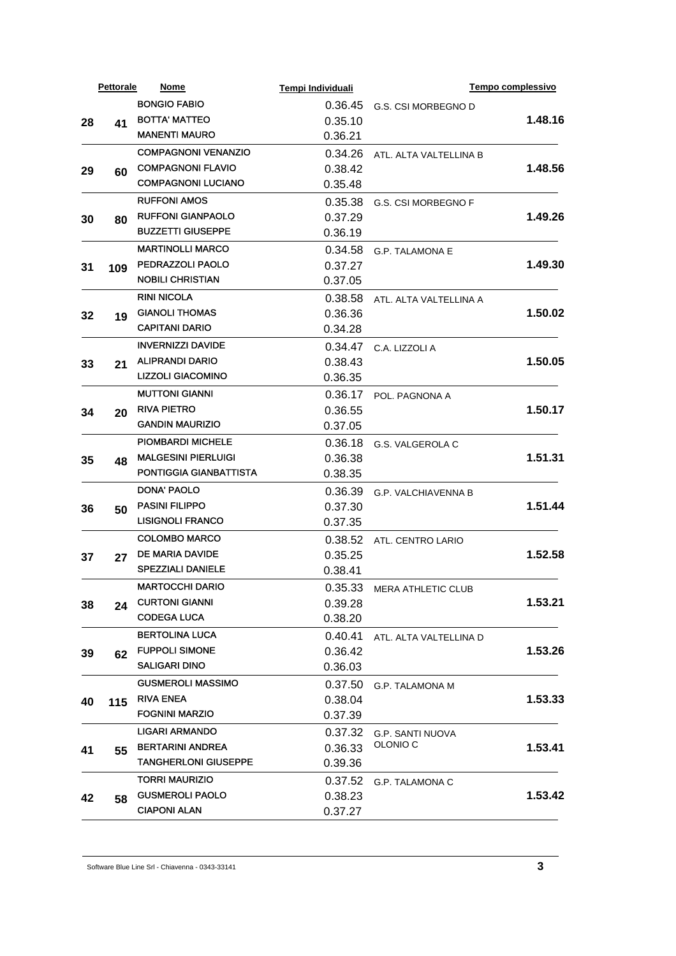| <b>BONGIO FABIO</b><br>0.36.45<br>G.S. CSI MORBEGNO D<br><b>BOTTA' MATTEO</b><br>0.35.10<br>28<br>41<br><b>MANENTI MAURO</b><br>0.36.21<br><b>COMPAGNONI VENANZIO</b><br>0.34.26<br>ATL. ALTA VALTELLINA B<br><b>COMPAGNONI FLAVIO</b><br>0.38.42<br>29<br>60<br><b>COMPAGNONI LUCIANO</b><br>0.35.48<br><b>RUFFONI AMOS</b><br>0.35.38<br>G.S. CSI MORBEGNO F<br><b>RUFFONI GIANPAOLO</b><br>0.37.29<br>30<br>80<br><b>BUZZETTI GIUSEPPE</b><br>0.36.19<br><b>MARTINOLLI MARCO</b><br>0.34.58<br><b>G.P. TALAMONA E</b><br>PEDRAZZOLI PAOLO<br>1.49.30<br>0.37.27<br>31<br>109<br><b>NOBILI CHRISTIAN</b><br>0.37.05<br><b>RINI NICOLA</b><br>0.38.58<br>ATL. ALTA VALTELLINA A<br><b>GIANOLI THOMAS</b><br>1.50.02<br>0.36.36<br>32<br>19<br><b>CAPITANI DARIO</b><br>0.34.28<br><b>INVERNIZZI DAVIDE</b><br>0.34.47<br>C.A. LIZZOLI A<br><b>ALIPRANDI DARIO</b><br>1.50.05<br>0.38.43<br>33<br>21<br><b>LIZZOLI GIACOMINO</b><br>0.36.35<br><b>MUTTONI GIANNI</b><br>0.36.17<br>POL. PAGNONA A<br><b>RIVA PIETRO</b><br>1.50.17<br>0.36.55<br>34<br>20<br><b>GANDIN MAURIZIO</b><br>0.37.05<br><b>PIOMBARDI MICHELE</b><br>0.36.18<br>G.S. VALGEROLA C<br><b>MALGESINI PIERLUIGI</b><br>1.51.31<br>0.36.38<br>35<br>48<br>PONTIGGIA GIANBATTISTA<br>0.38.35<br><b>DONA' PAOLO</b><br>0.36.39<br><b>G.P. VALCHIAVENNA B</b><br><b>PASINI FILIPPO</b><br>1.51.44<br>0.37.30<br>36<br>50<br><b>LISIGNOLI FRANCO</b><br>0.37.35<br><b>COLOMBO MARCO</b><br>0.38.52<br>ATL. CENTRO LARIO<br>DE MARIA DAVIDE<br>1.52.58<br>0.35.25<br>37<br>27<br><b>SPEZZIALI DANIELE</b><br>0.38.41<br><b>MARTOCCHI DARIO</b><br>0.35.33<br>MERA ATHLETIC CLUB<br><b>CURTONI GIANNI</b><br>1.53.21<br>0.39.28<br>38<br>24<br><b>CODEGA LUCA</b><br>0.38.20<br><b>BERTOLINA LUCA</b><br>0.40.41<br>ATL. ALTA VALTELLINA D<br><b>FUPPOLI SIMONE</b><br>1.53.26<br>0.36.42<br>62<br><b>SALIGARI DINO</b><br>0.36.03<br><b>GUSMEROLI MASSIMO</b><br>0.37.50<br>G.P. TALAMONA M<br><b>RIVA ENEA</b><br>1.53.33<br>0.38.04<br>115<br><b>FOGNINI MARZIO</b><br>0.37.39<br>LIGARI ARMANDO<br>0.37.32<br>G.P. SANTI NUOVA<br>OLONIO <sub>C</sub><br><b>BERTARINI ANDREA</b><br>0.36.33<br>55<br><b>TANGHERLONI GIUSEPPE</b><br>0.39.36<br><b>TORRI MAURIZIO</b><br>0.37.52<br>G.P. TALAMONA C<br><b>GUSMEROLI PAOLO</b><br>0.38.23<br>58<br><b>CIAPONI ALAN</b><br>0.37.27 |    | <b>Pettorale</b> | Nome | Tempi Individuali | Tempo complessivo |
|--------------------------------------------------------------------------------------------------------------------------------------------------------------------------------------------------------------------------------------------------------------------------------------------------------------------------------------------------------------------------------------------------------------------------------------------------------------------------------------------------------------------------------------------------------------------------------------------------------------------------------------------------------------------------------------------------------------------------------------------------------------------------------------------------------------------------------------------------------------------------------------------------------------------------------------------------------------------------------------------------------------------------------------------------------------------------------------------------------------------------------------------------------------------------------------------------------------------------------------------------------------------------------------------------------------------------------------------------------------------------------------------------------------------------------------------------------------------------------------------------------------------------------------------------------------------------------------------------------------------------------------------------------------------------------------------------------------------------------------------------------------------------------------------------------------------------------------------------------------------------------------------------------------------------------------------------------------------------------------------------------------------------------------------------------------------------------------------------------------------------------------------------------------------------------------------------------------------------------------------------------------------------------------------------------------------------------------------------|----|------------------|------|-------------------|-------------------|
|                                                                                                                                                                                                                                                                                                                                                                                                                                                                                                                                                                                                                                                                                                                                                                                                                                                                                                                                                                                                                                                                                                                                                                                                                                                                                                                                                                                                                                                                                                                                                                                                                                                                                                                                                                                                                                                                                                                                                                                                                                                                                                                                                                                                                                                                                                                                                  |    |                  |      |                   |                   |
|                                                                                                                                                                                                                                                                                                                                                                                                                                                                                                                                                                                                                                                                                                                                                                                                                                                                                                                                                                                                                                                                                                                                                                                                                                                                                                                                                                                                                                                                                                                                                                                                                                                                                                                                                                                                                                                                                                                                                                                                                                                                                                                                                                                                                                                                                                                                                  |    |                  |      |                   | 1.48.16           |
|                                                                                                                                                                                                                                                                                                                                                                                                                                                                                                                                                                                                                                                                                                                                                                                                                                                                                                                                                                                                                                                                                                                                                                                                                                                                                                                                                                                                                                                                                                                                                                                                                                                                                                                                                                                                                                                                                                                                                                                                                                                                                                                                                                                                                                                                                                                                                  |    |                  |      |                   |                   |
|                                                                                                                                                                                                                                                                                                                                                                                                                                                                                                                                                                                                                                                                                                                                                                                                                                                                                                                                                                                                                                                                                                                                                                                                                                                                                                                                                                                                                                                                                                                                                                                                                                                                                                                                                                                                                                                                                                                                                                                                                                                                                                                                                                                                                                                                                                                                                  |    |                  |      |                   |                   |
|                                                                                                                                                                                                                                                                                                                                                                                                                                                                                                                                                                                                                                                                                                                                                                                                                                                                                                                                                                                                                                                                                                                                                                                                                                                                                                                                                                                                                                                                                                                                                                                                                                                                                                                                                                                                                                                                                                                                                                                                                                                                                                                                                                                                                                                                                                                                                  |    |                  |      |                   | 1.48.56           |
|                                                                                                                                                                                                                                                                                                                                                                                                                                                                                                                                                                                                                                                                                                                                                                                                                                                                                                                                                                                                                                                                                                                                                                                                                                                                                                                                                                                                                                                                                                                                                                                                                                                                                                                                                                                                                                                                                                                                                                                                                                                                                                                                                                                                                                                                                                                                                  |    |                  |      |                   |                   |
|                                                                                                                                                                                                                                                                                                                                                                                                                                                                                                                                                                                                                                                                                                                                                                                                                                                                                                                                                                                                                                                                                                                                                                                                                                                                                                                                                                                                                                                                                                                                                                                                                                                                                                                                                                                                                                                                                                                                                                                                                                                                                                                                                                                                                                                                                                                                                  |    |                  |      |                   |                   |
|                                                                                                                                                                                                                                                                                                                                                                                                                                                                                                                                                                                                                                                                                                                                                                                                                                                                                                                                                                                                                                                                                                                                                                                                                                                                                                                                                                                                                                                                                                                                                                                                                                                                                                                                                                                                                                                                                                                                                                                                                                                                                                                                                                                                                                                                                                                                                  |    |                  |      |                   | 1.49.26           |
|                                                                                                                                                                                                                                                                                                                                                                                                                                                                                                                                                                                                                                                                                                                                                                                                                                                                                                                                                                                                                                                                                                                                                                                                                                                                                                                                                                                                                                                                                                                                                                                                                                                                                                                                                                                                                                                                                                                                                                                                                                                                                                                                                                                                                                                                                                                                                  |    |                  |      |                   |                   |
|                                                                                                                                                                                                                                                                                                                                                                                                                                                                                                                                                                                                                                                                                                                                                                                                                                                                                                                                                                                                                                                                                                                                                                                                                                                                                                                                                                                                                                                                                                                                                                                                                                                                                                                                                                                                                                                                                                                                                                                                                                                                                                                                                                                                                                                                                                                                                  |    |                  |      |                   |                   |
|                                                                                                                                                                                                                                                                                                                                                                                                                                                                                                                                                                                                                                                                                                                                                                                                                                                                                                                                                                                                                                                                                                                                                                                                                                                                                                                                                                                                                                                                                                                                                                                                                                                                                                                                                                                                                                                                                                                                                                                                                                                                                                                                                                                                                                                                                                                                                  |    |                  |      |                   |                   |
|                                                                                                                                                                                                                                                                                                                                                                                                                                                                                                                                                                                                                                                                                                                                                                                                                                                                                                                                                                                                                                                                                                                                                                                                                                                                                                                                                                                                                                                                                                                                                                                                                                                                                                                                                                                                                                                                                                                                                                                                                                                                                                                                                                                                                                                                                                                                                  |    |                  |      |                   |                   |
|                                                                                                                                                                                                                                                                                                                                                                                                                                                                                                                                                                                                                                                                                                                                                                                                                                                                                                                                                                                                                                                                                                                                                                                                                                                                                                                                                                                                                                                                                                                                                                                                                                                                                                                                                                                                                                                                                                                                                                                                                                                                                                                                                                                                                                                                                                                                                  |    |                  |      |                   |                   |
|                                                                                                                                                                                                                                                                                                                                                                                                                                                                                                                                                                                                                                                                                                                                                                                                                                                                                                                                                                                                                                                                                                                                                                                                                                                                                                                                                                                                                                                                                                                                                                                                                                                                                                                                                                                                                                                                                                                                                                                                                                                                                                                                                                                                                                                                                                                                                  |    |                  |      |                   |                   |
|                                                                                                                                                                                                                                                                                                                                                                                                                                                                                                                                                                                                                                                                                                                                                                                                                                                                                                                                                                                                                                                                                                                                                                                                                                                                                                                                                                                                                                                                                                                                                                                                                                                                                                                                                                                                                                                                                                                                                                                                                                                                                                                                                                                                                                                                                                                                                  |    |                  |      |                   |                   |
|                                                                                                                                                                                                                                                                                                                                                                                                                                                                                                                                                                                                                                                                                                                                                                                                                                                                                                                                                                                                                                                                                                                                                                                                                                                                                                                                                                                                                                                                                                                                                                                                                                                                                                                                                                                                                                                                                                                                                                                                                                                                                                                                                                                                                                                                                                                                                  |    |                  |      |                   |                   |
|                                                                                                                                                                                                                                                                                                                                                                                                                                                                                                                                                                                                                                                                                                                                                                                                                                                                                                                                                                                                                                                                                                                                                                                                                                                                                                                                                                                                                                                                                                                                                                                                                                                                                                                                                                                                                                                                                                                                                                                                                                                                                                                                                                                                                                                                                                                                                  |    |                  |      |                   |                   |
|                                                                                                                                                                                                                                                                                                                                                                                                                                                                                                                                                                                                                                                                                                                                                                                                                                                                                                                                                                                                                                                                                                                                                                                                                                                                                                                                                                                                                                                                                                                                                                                                                                                                                                                                                                                                                                                                                                                                                                                                                                                                                                                                                                                                                                                                                                                                                  |    |                  |      |                   |                   |
|                                                                                                                                                                                                                                                                                                                                                                                                                                                                                                                                                                                                                                                                                                                                                                                                                                                                                                                                                                                                                                                                                                                                                                                                                                                                                                                                                                                                                                                                                                                                                                                                                                                                                                                                                                                                                                                                                                                                                                                                                                                                                                                                                                                                                                                                                                                                                  |    |                  |      |                   |                   |
|                                                                                                                                                                                                                                                                                                                                                                                                                                                                                                                                                                                                                                                                                                                                                                                                                                                                                                                                                                                                                                                                                                                                                                                                                                                                                                                                                                                                                                                                                                                                                                                                                                                                                                                                                                                                                                                                                                                                                                                                                                                                                                                                                                                                                                                                                                                                                  |    |                  |      |                   |                   |
|                                                                                                                                                                                                                                                                                                                                                                                                                                                                                                                                                                                                                                                                                                                                                                                                                                                                                                                                                                                                                                                                                                                                                                                                                                                                                                                                                                                                                                                                                                                                                                                                                                                                                                                                                                                                                                                                                                                                                                                                                                                                                                                                                                                                                                                                                                                                                  |    |                  |      |                   |                   |
|                                                                                                                                                                                                                                                                                                                                                                                                                                                                                                                                                                                                                                                                                                                                                                                                                                                                                                                                                                                                                                                                                                                                                                                                                                                                                                                                                                                                                                                                                                                                                                                                                                                                                                                                                                                                                                                                                                                                                                                                                                                                                                                                                                                                                                                                                                                                                  |    |                  |      |                   |                   |
|                                                                                                                                                                                                                                                                                                                                                                                                                                                                                                                                                                                                                                                                                                                                                                                                                                                                                                                                                                                                                                                                                                                                                                                                                                                                                                                                                                                                                                                                                                                                                                                                                                                                                                                                                                                                                                                                                                                                                                                                                                                                                                                                                                                                                                                                                                                                                  |    |                  |      |                   |                   |
|                                                                                                                                                                                                                                                                                                                                                                                                                                                                                                                                                                                                                                                                                                                                                                                                                                                                                                                                                                                                                                                                                                                                                                                                                                                                                                                                                                                                                                                                                                                                                                                                                                                                                                                                                                                                                                                                                                                                                                                                                                                                                                                                                                                                                                                                                                                                                  |    |                  |      |                   |                   |
|                                                                                                                                                                                                                                                                                                                                                                                                                                                                                                                                                                                                                                                                                                                                                                                                                                                                                                                                                                                                                                                                                                                                                                                                                                                                                                                                                                                                                                                                                                                                                                                                                                                                                                                                                                                                                                                                                                                                                                                                                                                                                                                                                                                                                                                                                                                                                  |    |                  |      |                   |                   |
|                                                                                                                                                                                                                                                                                                                                                                                                                                                                                                                                                                                                                                                                                                                                                                                                                                                                                                                                                                                                                                                                                                                                                                                                                                                                                                                                                                                                                                                                                                                                                                                                                                                                                                                                                                                                                                                                                                                                                                                                                                                                                                                                                                                                                                                                                                                                                  |    |                  |      |                   |                   |
|                                                                                                                                                                                                                                                                                                                                                                                                                                                                                                                                                                                                                                                                                                                                                                                                                                                                                                                                                                                                                                                                                                                                                                                                                                                                                                                                                                                                                                                                                                                                                                                                                                                                                                                                                                                                                                                                                                                                                                                                                                                                                                                                                                                                                                                                                                                                                  |    |                  |      |                   |                   |
|                                                                                                                                                                                                                                                                                                                                                                                                                                                                                                                                                                                                                                                                                                                                                                                                                                                                                                                                                                                                                                                                                                                                                                                                                                                                                                                                                                                                                                                                                                                                                                                                                                                                                                                                                                                                                                                                                                                                                                                                                                                                                                                                                                                                                                                                                                                                                  |    |                  |      |                   |                   |
|                                                                                                                                                                                                                                                                                                                                                                                                                                                                                                                                                                                                                                                                                                                                                                                                                                                                                                                                                                                                                                                                                                                                                                                                                                                                                                                                                                                                                                                                                                                                                                                                                                                                                                                                                                                                                                                                                                                                                                                                                                                                                                                                                                                                                                                                                                                                                  |    |                  |      |                   |                   |
|                                                                                                                                                                                                                                                                                                                                                                                                                                                                                                                                                                                                                                                                                                                                                                                                                                                                                                                                                                                                                                                                                                                                                                                                                                                                                                                                                                                                                                                                                                                                                                                                                                                                                                                                                                                                                                                                                                                                                                                                                                                                                                                                                                                                                                                                                                                                                  |    |                  |      |                   |                   |
|                                                                                                                                                                                                                                                                                                                                                                                                                                                                                                                                                                                                                                                                                                                                                                                                                                                                                                                                                                                                                                                                                                                                                                                                                                                                                                                                                                                                                                                                                                                                                                                                                                                                                                                                                                                                                                                                                                                                                                                                                                                                                                                                                                                                                                                                                                                                                  |    |                  |      |                   |                   |
|                                                                                                                                                                                                                                                                                                                                                                                                                                                                                                                                                                                                                                                                                                                                                                                                                                                                                                                                                                                                                                                                                                                                                                                                                                                                                                                                                                                                                                                                                                                                                                                                                                                                                                                                                                                                                                                                                                                                                                                                                                                                                                                                                                                                                                                                                                                                                  |    |                  |      |                   |                   |
|                                                                                                                                                                                                                                                                                                                                                                                                                                                                                                                                                                                                                                                                                                                                                                                                                                                                                                                                                                                                                                                                                                                                                                                                                                                                                                                                                                                                                                                                                                                                                                                                                                                                                                                                                                                                                                                                                                                                                                                                                                                                                                                                                                                                                                                                                                                                                  |    |                  |      |                   |                   |
|                                                                                                                                                                                                                                                                                                                                                                                                                                                                                                                                                                                                                                                                                                                                                                                                                                                                                                                                                                                                                                                                                                                                                                                                                                                                                                                                                                                                                                                                                                                                                                                                                                                                                                                                                                                                                                                                                                                                                                                                                                                                                                                                                                                                                                                                                                                                                  |    |                  |      |                   |                   |
|                                                                                                                                                                                                                                                                                                                                                                                                                                                                                                                                                                                                                                                                                                                                                                                                                                                                                                                                                                                                                                                                                                                                                                                                                                                                                                                                                                                                                                                                                                                                                                                                                                                                                                                                                                                                                                                                                                                                                                                                                                                                                                                                                                                                                                                                                                                                                  |    |                  |      |                   |                   |
|                                                                                                                                                                                                                                                                                                                                                                                                                                                                                                                                                                                                                                                                                                                                                                                                                                                                                                                                                                                                                                                                                                                                                                                                                                                                                                                                                                                                                                                                                                                                                                                                                                                                                                                                                                                                                                                                                                                                                                                                                                                                                                                                                                                                                                                                                                                                                  | 39 |                  |      |                   |                   |
|                                                                                                                                                                                                                                                                                                                                                                                                                                                                                                                                                                                                                                                                                                                                                                                                                                                                                                                                                                                                                                                                                                                                                                                                                                                                                                                                                                                                                                                                                                                                                                                                                                                                                                                                                                                                                                                                                                                                                                                                                                                                                                                                                                                                                                                                                                                                                  |    |                  |      |                   |                   |
|                                                                                                                                                                                                                                                                                                                                                                                                                                                                                                                                                                                                                                                                                                                                                                                                                                                                                                                                                                                                                                                                                                                                                                                                                                                                                                                                                                                                                                                                                                                                                                                                                                                                                                                                                                                                                                                                                                                                                                                                                                                                                                                                                                                                                                                                                                                                                  |    |                  |      |                   |                   |
|                                                                                                                                                                                                                                                                                                                                                                                                                                                                                                                                                                                                                                                                                                                                                                                                                                                                                                                                                                                                                                                                                                                                                                                                                                                                                                                                                                                                                                                                                                                                                                                                                                                                                                                                                                                                                                                                                                                                                                                                                                                                                                                                                                                                                                                                                                                                                  | 40 |                  |      |                   |                   |
|                                                                                                                                                                                                                                                                                                                                                                                                                                                                                                                                                                                                                                                                                                                                                                                                                                                                                                                                                                                                                                                                                                                                                                                                                                                                                                                                                                                                                                                                                                                                                                                                                                                                                                                                                                                                                                                                                                                                                                                                                                                                                                                                                                                                                                                                                                                                                  |    |                  |      |                   |                   |
|                                                                                                                                                                                                                                                                                                                                                                                                                                                                                                                                                                                                                                                                                                                                                                                                                                                                                                                                                                                                                                                                                                                                                                                                                                                                                                                                                                                                                                                                                                                                                                                                                                                                                                                                                                                                                                                                                                                                                                                                                                                                                                                                                                                                                                                                                                                                                  |    |                  |      |                   |                   |
|                                                                                                                                                                                                                                                                                                                                                                                                                                                                                                                                                                                                                                                                                                                                                                                                                                                                                                                                                                                                                                                                                                                                                                                                                                                                                                                                                                                                                                                                                                                                                                                                                                                                                                                                                                                                                                                                                                                                                                                                                                                                                                                                                                                                                                                                                                                                                  | 41 |                  |      |                   | 1.53.41           |
|                                                                                                                                                                                                                                                                                                                                                                                                                                                                                                                                                                                                                                                                                                                                                                                                                                                                                                                                                                                                                                                                                                                                                                                                                                                                                                                                                                                                                                                                                                                                                                                                                                                                                                                                                                                                                                                                                                                                                                                                                                                                                                                                                                                                                                                                                                                                                  |    |                  |      |                   |                   |
|                                                                                                                                                                                                                                                                                                                                                                                                                                                                                                                                                                                                                                                                                                                                                                                                                                                                                                                                                                                                                                                                                                                                                                                                                                                                                                                                                                                                                                                                                                                                                                                                                                                                                                                                                                                                                                                                                                                                                                                                                                                                                                                                                                                                                                                                                                                                                  |    |                  |      |                   |                   |
|                                                                                                                                                                                                                                                                                                                                                                                                                                                                                                                                                                                                                                                                                                                                                                                                                                                                                                                                                                                                                                                                                                                                                                                                                                                                                                                                                                                                                                                                                                                                                                                                                                                                                                                                                                                                                                                                                                                                                                                                                                                                                                                                                                                                                                                                                                                                                  | 42 |                  |      |                   | 1.53.42           |
|                                                                                                                                                                                                                                                                                                                                                                                                                                                                                                                                                                                                                                                                                                                                                                                                                                                                                                                                                                                                                                                                                                                                                                                                                                                                                                                                                                                                                                                                                                                                                                                                                                                                                                                                                                                                                                                                                                                                                                                                                                                                                                                                                                                                                                                                                                                                                  |    |                  |      |                   |                   |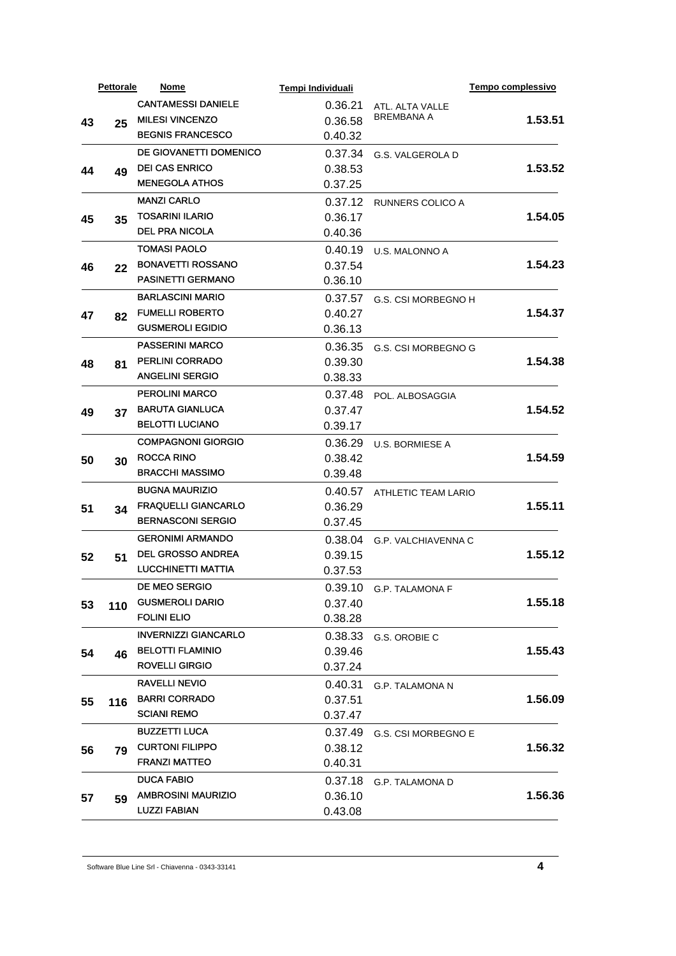|    | <b>Pettorale</b> | Nome                                             | Tempi Individuali  |                         | Tempo complessivo |
|----|------------------|--------------------------------------------------|--------------------|-------------------------|-------------------|
|    |                  | <b>CANTAMESSI DANIELE</b>                        | 0.36.21            | ATL. ALTA VALLE         |                   |
| 43 | 25               | <b>MILESI VINCENZO</b>                           | 0.36.58            | <b>BREMBANA A</b>       | 1.53.51           |
|    |                  | <b>BEGNIS FRANCESCO</b>                          | 0.40.32            |                         |                   |
|    |                  | DE GIOVANETTI DOMENICO                           | 0.37.34            | G.S. VALGEROLA D        |                   |
| 44 | 49               | <b>DEI CAS ENRICO</b>                            | 0.38.53            |                         | 1.53.52           |
|    |                  | <b>MENEGOLA ATHOS</b>                            | 0.37.25            |                         |                   |
|    |                  | <b>MANZI CARLO</b>                               | 0.37.12            | <b>RUNNERS COLICO A</b> |                   |
| 45 | 35               | <b>TOSARINI ILARIO</b>                           | 0.36.17            |                         | 1.54.05           |
|    |                  | <b>DEL PRA NICOLA</b>                            | 0.40.36            |                         |                   |
|    |                  | <b>TOMASI PAOLO</b>                              | 0.40.19            | U.S. MALONNO A          |                   |
| 46 | 22               | <b>BONAVETTI ROSSANO</b>                         | 0.37.54            |                         | 1.54.23           |
|    |                  | <b>PASINETTI GERMANO</b>                         | 0.36.10            |                         |                   |
|    |                  | <b>BARLASCINI MARIO</b>                          | 0.37.57            | G.S. CSI MORBEGNO H     |                   |
| 47 | 82               | <b>FUMELLI ROBERTO</b>                           | 0.40.27            |                         | 1.54.37           |
|    |                  | <b>GUSMEROLI EGIDIO</b>                          | 0.36.13            |                         |                   |
|    |                  | <b>PASSERINI MARCO</b>                           | 0.36.35            | G.S. CSI MORBEGNO G     |                   |
| 48 | 81               | <b>PERLINI CORRADO</b>                           | 0.39.30            |                         | 1.54.38           |
|    |                  | <b>ANGELINI SERGIO</b>                           | 0.38.33            |                         |                   |
|    |                  | <b>PEROLINI MARCO</b>                            | 0.37.48            | POL. ALBOSAGGIA         |                   |
| 49 | 37               | <b>BARUTA GIANLUCA</b>                           | 0.37.47            |                         | 1.54.52           |
|    |                  | <b>BELOTTI LUCIANO</b>                           | 0.39.17            |                         |                   |
|    |                  | <b>COMPAGNONI GIORGIO</b>                        | 0.36.29            | <b>U.S. BORMIESE A</b>  |                   |
|    |                  | <b>ROCCA RINO</b>                                | 0.38.42            |                         | 1.54.59           |
| 50 | 30               | <b>BRACCHI MASSIMO</b>                           | 0.39.48            |                         |                   |
|    |                  | <b>BUGNA MAURIZIO</b>                            | 0.40.57            |                         |                   |
|    |                  | <b>FRAQUELLI GIANCARLO</b>                       | 0.36.29            | ATHLETIC TEAM LARIO     | 1.55.11           |
| 51 | 34               | <b>BERNASCONI SERGIO</b>                         | 0.37.45            |                         |                   |
|    |                  | <b>GERONIMI ARMANDO</b>                          | 0.38.04            |                         |                   |
|    |                  | <b>DEL GROSSO ANDREA</b>                         |                    | G.P. VALCHIAVENNA C     | 1.55.12           |
| 52 | 51               | <b>LUCCHINETTI MATTIA</b>                        | 0.39.15<br>0.37.53 |                         |                   |
|    |                  | DE MEO SERGIO                                    |                    |                         |                   |
|    |                  | <b>GUSMEROLI DARIO</b>                           |                    | 0.39.10 G.P. TALAMONA F | 1.55.18           |
| 53 | 110              | <b>FOLINI ELIO</b>                               | 0.37.40            |                         |                   |
|    |                  |                                                  | 0.38.28            |                         |                   |
|    |                  | <b>INVERNIZZI GIANCARLO</b>                      | 0.38.33            | G.S. OROBIE C           |                   |
| 54 | 46               | <b>BELOTTI FLAMINIO</b><br><b>ROVELLI GIRGIO</b> | 0.39.46            |                         | 1.55.43           |
|    |                  |                                                  | 0.37.24            |                         |                   |
|    |                  | <b>RAVELLI NEVIO</b>                             | 0.40.31            | <b>G.P. TALAMONA N</b>  |                   |
| 55 | 116              | <b>BARRI CORRADO</b>                             | 0.37.51            |                         | 1.56.09           |
|    |                  | <b>SCIANI REMO</b>                               | 0.37.47            |                         |                   |
| 56 |                  | <b>BUZZETTI LUCA</b>                             | 0.37.49            | G.S. CSI MORBEGNO E     |                   |
|    | 79               | <b>CURTONI FILIPPO</b>                           | 0.38.12            |                         | 1.56.32           |
|    |                  | <b>FRANZI MATTEO</b>                             | 0.40.31            |                         |                   |
|    |                  | <b>DUCA FABIO</b>                                | 0.37.18            | G.P. TALAMONA D         |                   |
| 57 | 59               | <b>AMBROSINI MAURIZIO</b>                        | 0.36.10            |                         | 1.56.36           |
|    |                  | <b>LUZZI FABIAN</b>                              | 0.43.08            |                         |                   |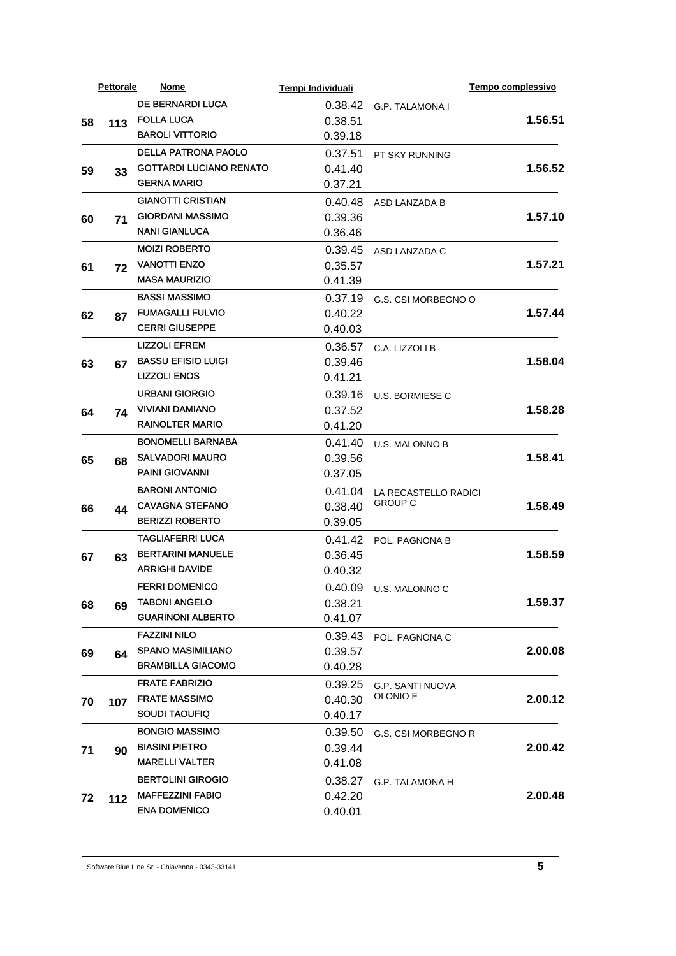|    | <b>Pettorale</b> | <b>Nome</b>                    | Tempi Individuali |                         | Tempo complessivo |
|----|------------------|--------------------------------|-------------------|-------------------------|-------------------|
|    |                  | <b>DE BERNARDI LUCA</b>        | 0.38.42           | G.P. TALAMONA I         |                   |
| 58 | 113              | <b>FOLLA LUCA</b>              | 0.38.51           |                         | 1.56.51           |
|    |                  | <b>BAROLI VITTORIO</b>         | 0.39.18           |                         |                   |
|    |                  | <b>DELLA PATRONA PAOLO</b>     | 0.37.51           | PT SKY RUNNING          |                   |
| 59 | 33               | <b>GOTTARDI LUCIANO RENATO</b> | 0.41.40           |                         | 1.56.52           |
|    |                  | <b>GERNA MARIO</b>             | 0.37.21           |                         |                   |
|    |                  | <b>GIANOTTI CRISTIAN</b>       | 0.40.48           | ASD LANZADA B           |                   |
| 60 | 71               | <b>GIORDANI MASSIMO</b>        | 0.39.36           |                         | 1.57.10           |
|    |                  | <b>NANI GIANLUCA</b>           | 0.36.46           |                         |                   |
|    |                  | <b>MOIZI ROBERTO</b>           | 0.39.45           | ASD LANZADA C           |                   |
| 61 | 72               | <b>VANOTTI ENZO</b>            | 0.35.57           |                         | 1.57.21           |
|    |                  | <b>MASA MAURIZIO</b>           | 0.41.39           |                         |                   |
|    |                  | <b>BASSI MASSIMO</b>           | 0.37.19           | G.S. CSI MORBEGNO O     |                   |
| 62 | 87               | <b>FUMAGALLI FULVIO</b>        | 0.40.22           |                         | 1.57.44           |
|    |                  | <b>CERRI GIUSEPPE</b>          | 0.40.03           |                         |                   |
|    |                  | <b>LIZZOLI EFREM</b>           | 0.36.57           | C.A. LIZZOLI B          |                   |
| 63 | 67               | <b>BASSU EFISIO LUIGI</b>      | 0.39.46           |                         | 1.58.04           |
|    |                  | <b>LIZZOLI ENOS</b>            | 0.41.21           |                         |                   |
|    |                  | <b>URBANI GIORGIO</b>          | 0.39.16           | <b>U.S. BORMIESE C</b>  |                   |
| 64 | 74               | <b>VIVIANI DAMIANO</b>         | 0.37.52           |                         | 1.58.28           |
|    |                  | <b>RAINOLTER MARIO</b>         | 0.41.20           |                         |                   |
|    |                  | <b>BONOMELLI BARNABA</b>       | 0.41.40           | U.S. MALONNO B          |                   |
| 65 | 68               | <b>SALVADORI MAURO</b>         | 0.39.56           |                         | 1.58.41           |
|    |                  | <b>PAINI GIOVANNI</b>          | 0.37.05           |                         |                   |
|    |                  | <b>BARONI ANTONIO</b>          | 0.41.04           | LA RECASTELLO RADICI    |                   |
| 66 | 44               | <b>CAVAGNA STEFANO</b>         | 0.38.40           | <b>GROUP C</b>          | 1.58.49           |
|    |                  | <b>BERIZZI ROBERTO</b>         | 0.39.05           |                         |                   |
|    |                  | TAGLIAFERRI LUCA               | 0.41.42           | POL. PAGNONA B          |                   |
| 67 | 63               | <b>BERTARINI MANUELE</b>       | 0.36.45           |                         | 1.58.59           |
|    |                  | <b>ARRIGHI DAVIDE</b>          | 0.40.32           |                         |                   |
|    |                  | <b>FERRI DOMENICO</b>          |                   | 0.40.09 U.S. MALONNOC   |                   |
| 68 | 69               | <b>TABONI ANGELO</b>           | 0.38.21           |                         | 1.59.37           |
|    |                  | <b>GUARINONI ALBERTO</b>       | 0.41.07           |                         |                   |
|    |                  | <b>FAZZINI NILO</b>            | 0.39.43           | POL. PAGNONA C          |                   |
|    |                  | <b>SPANO MASIMILIANO</b>       | 0.39.57           |                         | 2.00.08           |
| 69 | 64               | <b>BRAMBILLA GIACOMO</b>       | 0.40.28           |                         |                   |
|    |                  | <b>FRATE FABRIZIO</b>          | 0.39.25           | <b>G.P. SANTI NUOVA</b> |                   |
| 70 |                  | <b>FRATE MASSIMO</b>           | 0.40.30           | <b>OLONIO E</b>         | 2.00.12           |
|    | 107              | <b>SOUDI TAOUFIQ</b>           | 0.40.17           |                         |                   |
|    |                  | <b>BONGIO MASSIMO</b>          | 0.39.50           |                         |                   |
|    |                  | <b>BIASINI PIETRO</b>          | 0.39.44           | G.S. CSI MORBEGNO R     | 2.00.42           |
| 71 | 90               | <b>MARELLI VALTER</b>          | 0.41.08           |                         |                   |
|    |                  | <b>BERTOLINI GIROGIO</b>       |                   |                         |                   |
|    |                  | <b>MAFFEZZINI FABIO</b>        | 0.38.27           | <b>G.P. TALAMONA H</b>  |                   |
| 72 | $112$            | <b>ENA DOMENICO</b>            | 0.42.20           |                         | 2.00.48           |
|    |                  |                                | 0.40.01           |                         |                   |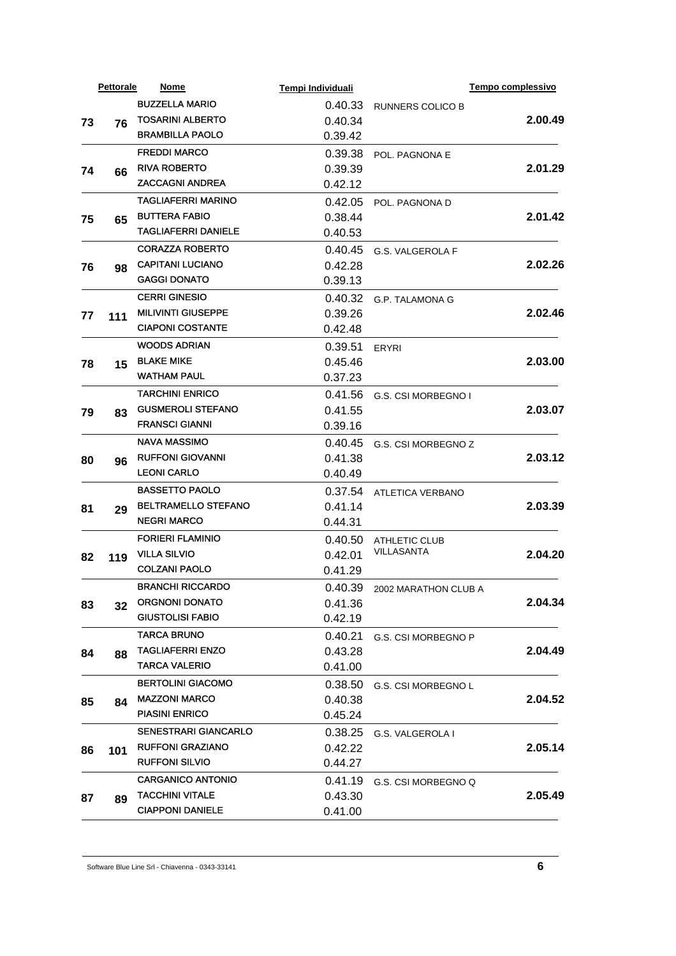|    | <b>Pettorale</b> | Nome                        | Tempi Individuali |                         | Tempo complessivo |
|----|------------------|-----------------------------|-------------------|-------------------------|-------------------|
|    |                  | <b>BUZZELLA MARIO</b>       | 0.40.33           | <b>RUNNERS COLICO B</b> |                   |
| 73 | 76               | <b>TOSARINI ALBERTO</b>     | 0.40.34           |                         | 2.00.49           |
|    |                  | <b>BRAMBILLA PAOLO</b>      | 0.39.42           |                         |                   |
|    |                  | <b>FREDDI MARCO</b>         | 0.39.38           | POL. PAGNONA E          |                   |
| 74 | 66               | <b>RIVA ROBERTO</b>         | 0.39.39           |                         | 2.01.29           |
|    |                  | <b>ZACCAGNI ANDREA</b>      | 0.42.12           |                         |                   |
|    |                  | TAGLIAFERRI MARINO          | 0.42.05           | POL. PAGNONA D          |                   |
| 75 | 65               | <b>BUTTERA FABIO</b>        | 0.38.44           |                         | 2.01.42           |
|    |                  | <b>TAGLIAFERRI DANIELE</b>  | 0.40.53           |                         |                   |
|    |                  | <b>CORAZZA ROBERTO</b>      | 0.40.45           | <b>G.S. VALGEROLA F</b> |                   |
| 76 | 98               | <b>CAPITANI LUCIANO</b>     | 0.42.28           |                         | 2.02.26           |
|    |                  | <b>GAGGI DONATO</b>         | 0.39.13           |                         |                   |
|    |                  | <b>CERRI GINESIO</b>        | 0.40.32           | G.P. TALAMONA G         |                   |
| 77 | 111              | <b>MILIVINTI GIUSEPPE</b>   | 0.39.26           |                         | 2.02.46           |
|    |                  | <b>CIAPONI COSTANTE</b>     | 0.42.48           |                         |                   |
|    |                  | <b>WOODS ADRIAN</b>         | 0.39.51           | <b>ERYRI</b>            |                   |
| 78 | 15               | <b>BLAKE MIKE</b>           | 0.45.46           |                         | 2.03.00           |
|    |                  | <b>WATHAM PAUL</b>          | 0.37.23           |                         |                   |
|    |                  | <b>TARCHINI ENRICO</b>      | 0.41.56           | G.S. CSI MORBEGNO I     |                   |
| 79 | 83               | <b>GUSMEROLI STEFANO</b>    | 0.41.55           |                         | 2.03.07           |
|    |                  | <b>FRANSCI GIANNI</b>       | 0.39.16           |                         |                   |
|    |                  | <b>NAVA MASSIMO</b>         | 0.40.45           | G.S. CSI MORBEGNO Z     |                   |
| 80 | 96               | <b>RUFFONI GIOVANNI</b>     | 0.41.38           |                         | 2.03.12           |
|    |                  | <b>LEONI CARLO</b>          | 0.40.49           |                         |                   |
|    |                  | <b>BASSETTO PAOLO</b>       | 0.37.54           | ATLETICA VERBANO        |                   |
| 81 | 29               | <b>BELTRAMELLO STEFANO</b>  | 0.41.14           |                         | 2.03.39           |
|    |                  | <b>NEGRI MARCO</b>          | 0.44.31           |                         |                   |
|    |                  | <b>FORIERI FLAMINIO</b>     | 0.40.50           | ATHLETIC CLUB           |                   |
| 82 | 119              | <b>VILLA SILVIO</b>         | 0.42.01           | <b>VILLASANTA</b>       | 2.04.20           |
|    |                  | <b>COLZANI PAOLO</b>        | 0.41.29           |                         |                   |
|    |                  | <b>BRANCHI RICCARDO</b>     | 0.40.39           | 2002 MARATHON CLUB A    |                   |
| 83 |                  | <b>ORGNONI DONATO</b>       | 0.41.36           |                         | 2.04.34           |
|    | 32               | <b>GIUSTOLISI FABIO</b>     | 0.42.19           |                         |                   |
|    |                  | <b>TARCA BRUNO</b>          | 0.40.21           | G.S. CSI MORBEGNO P     |                   |
| 84 |                  | <b>TAGLIAFERRI ENZO</b>     | 0.43.28           |                         | 2.04.49           |
|    | 88               | <b>TARCA VALERIO</b>        | 0.41.00           |                         |                   |
|    |                  | <b>BERTOLINI GIACOMO</b>    | 0.38.50           | G.S. CSI MORBEGNO L     |                   |
|    |                  | <b>MAZZONI MARCO</b>        | 0.40.38           |                         | 2.04.52           |
| 85 | 84               | <b>PIASINI ENRICO</b>       | 0.45.24           |                         |                   |
|    |                  | <b>SENESTRARI GIANCARLO</b> | 0.38.25           |                         |                   |
| 86 |                  | <b>RUFFONI GRAZIANO</b>     | 0.42.22           | G.S. VALGEROLA I        | 2.05.14           |
|    | 101              | <b>RUFFONI SILVIO</b>       | 0.44.27           |                         |                   |
|    |                  | <b>CARGANICO ANTONIO</b>    |                   |                         |                   |
|    |                  | <b>TACCHINI VITALE</b>      | 0.41.19           | G.S. CSI MORBEGNO Q     | 2.05.49           |
| 87 | 89               | <b>CIAPPONI DANIELE</b>     | 0.43.30           |                         |                   |
|    |                  |                             | 0.41.00           |                         |                   |

Software Blue Line Srl - Chiavenna - 0343-33141 **6**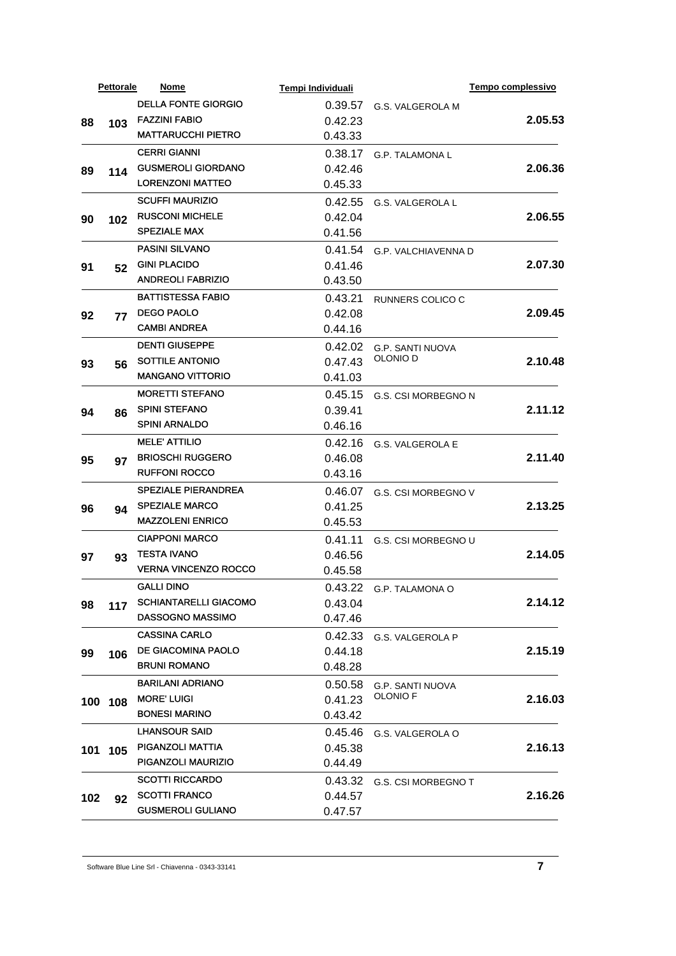| <b>DELLA FONTE GIORGIO</b><br>0.39.57<br>G.S. VALGEROLA M<br><b>FAZZINI FABIO</b><br>2.05.53<br>0.42.23<br>88<br>103<br><b>MATTARUCCHI PIETRO</b><br>0.43.33<br><b>CERRI GIANNI</b><br>0.38.17<br><b>G.P. TALAMONA L</b><br><b>GUSMEROLI GIORDANO</b><br>2.06.36<br>0.42.46<br>89<br>114<br><b>LORENZONI MATTEO</b><br>0.45.33<br><b>SCUFFI MAURIZIO</b><br>0.42.55<br>G.S. VALGEROLA L<br><b>RUSCONI MICHELE</b><br>2.06.55<br>0.42.04<br>90<br>102<br><b>SPEZIALE MAX</b><br>0.41.56<br><b>PASINI SILVANO</b><br>0.41.54<br><b>G.P. VALCHIAVENNA D</b><br><b>GINI PLACIDO</b><br>2.07.30<br>0.41.46<br>91<br>52<br><b>ANDREOLI FABRIZIO</b><br>0.43.50<br><b>BATTISTESSA FABIO</b><br>0.43.21<br>RUNNERS COLICO C<br><b>DEGO PAOLO</b><br>2.09.45<br>0.42.08<br>92<br>77<br><b>CAMBI ANDREA</b><br>0.44.16<br><b>DENTI GIUSEPPE</b><br>0.42.02<br>G.P. SANTI NUOVA<br>OLONIO D<br><b>SOTTILE ANTONIO</b><br>2.10.48<br>0.47.43<br>93<br>56<br><b>MANGANO VITTORIO</b><br>0.41.03<br><b>MORETTI STEFANO</b><br>0.45.15<br>G.S. CSI MORBEGNO N<br><b>SPINI STEFANO</b><br>2.11.12<br>0.39.41<br>94<br>86<br><b>SPINI ARNALDO</b><br>0.46.16<br><b>MELE' ATTILIO</b><br>0.42.16<br><b>G.S. VALGEROLA E</b><br><b>BRIOSCHI RUGGERO</b><br>2.11.40<br>0.46.08<br>95<br>97<br><b>RUFFONI ROCCO</b><br>0.43.16<br><b>SPEZIALE PIERANDREA</b><br>0.46.07<br>G.S. CSI MORBEGNO V<br>SPEZIALE MARCO<br>2.13.25<br>0.41.25<br>96<br>94<br><b>MAZZOLENI ENRICO</b><br>0.45.53<br><b>CIAPPONI MARCO</b><br>0.41.11<br>G.S. CSI MORBEGNO U<br><b>TESTA IVANO</b><br>2.14.05<br>0.46.56<br>97<br>93<br><b>VERNA VINCENZO ROCCO</b><br>0.45.58<br><b>GALLI DINO</b><br>0.43.22 G.P. TALAMONA O<br><b>SCHIANTARELLI GIACOMO</b><br>2.14.12<br>0.43.04<br>98<br>117<br><b>DASSOGNO MASSIMO</b><br>0.47.46<br><b>CASSINA CARLO</b><br>0.42.33<br>G.S. VALGEROLA P<br>DE GIACOMINA PAOLO<br>2.15.19<br>0.44.18<br>99<br>106<br><b>BRUNI ROMANO</b><br>0.48.28<br><b>BARILANI ADRIANO</b><br>0.50.58<br>G.P. SANTI NUOVA<br><b>OLONIO F</b><br><b>MORE' LUIGI</b><br>2.16.03<br>0.41.23<br>100 108<br><b>BONESI MARINO</b><br>0.43.42<br><b>LHANSOUR SAID</b><br>0.45.46<br>G.S. VALGEROLA O<br>PIGANZOLI MATTIA<br>2.16.13<br>0.45.38<br>101 105<br>PIGANZOLI MAURIZIO<br>0.44.49<br><b>SCOTTI RICCARDO</b><br>0.43.32<br>G.S. CSI MORBEGNO T<br><b>SCOTTI FRANCO</b><br>2.16.26<br>0.44.57<br>102<br>92<br><b>GUSMEROLI GULIANO</b><br>0.47.57 | <b>Pettorale</b> | <b>Nome</b> | Tempi Individuali | Tempo complessivo |
|-------------------------------------------------------------------------------------------------------------------------------------------------------------------------------------------------------------------------------------------------------------------------------------------------------------------------------------------------------------------------------------------------------------------------------------------------------------------------------------------------------------------------------------------------------------------------------------------------------------------------------------------------------------------------------------------------------------------------------------------------------------------------------------------------------------------------------------------------------------------------------------------------------------------------------------------------------------------------------------------------------------------------------------------------------------------------------------------------------------------------------------------------------------------------------------------------------------------------------------------------------------------------------------------------------------------------------------------------------------------------------------------------------------------------------------------------------------------------------------------------------------------------------------------------------------------------------------------------------------------------------------------------------------------------------------------------------------------------------------------------------------------------------------------------------------------------------------------------------------------------------------------------------------------------------------------------------------------------------------------------------------------------------------------------------------------------------------------------------------------------------------------------------------------------------------------------------------------------------------------------------------------------------------------------------------------------------------------------------------------------------------------------------------------------------|------------------|-------------|-------------------|-------------------|
|                                                                                                                                                                                                                                                                                                                                                                                                                                                                                                                                                                                                                                                                                                                                                                                                                                                                                                                                                                                                                                                                                                                                                                                                                                                                                                                                                                                                                                                                                                                                                                                                                                                                                                                                                                                                                                                                                                                                                                                                                                                                                                                                                                                                                                                                                                                                                                                                                               |                  |             |                   |                   |
|                                                                                                                                                                                                                                                                                                                                                                                                                                                                                                                                                                                                                                                                                                                                                                                                                                                                                                                                                                                                                                                                                                                                                                                                                                                                                                                                                                                                                                                                                                                                                                                                                                                                                                                                                                                                                                                                                                                                                                                                                                                                                                                                                                                                                                                                                                                                                                                                                               |                  |             |                   |                   |
|                                                                                                                                                                                                                                                                                                                                                                                                                                                                                                                                                                                                                                                                                                                                                                                                                                                                                                                                                                                                                                                                                                                                                                                                                                                                                                                                                                                                                                                                                                                                                                                                                                                                                                                                                                                                                                                                                                                                                                                                                                                                                                                                                                                                                                                                                                                                                                                                                               |                  |             |                   |                   |
|                                                                                                                                                                                                                                                                                                                                                                                                                                                                                                                                                                                                                                                                                                                                                                                                                                                                                                                                                                                                                                                                                                                                                                                                                                                                                                                                                                                                                                                                                                                                                                                                                                                                                                                                                                                                                                                                                                                                                                                                                                                                                                                                                                                                                                                                                                                                                                                                                               |                  |             |                   |                   |
|                                                                                                                                                                                                                                                                                                                                                                                                                                                                                                                                                                                                                                                                                                                                                                                                                                                                                                                                                                                                                                                                                                                                                                                                                                                                                                                                                                                                                                                                                                                                                                                                                                                                                                                                                                                                                                                                                                                                                                                                                                                                                                                                                                                                                                                                                                                                                                                                                               |                  |             |                   |                   |
|                                                                                                                                                                                                                                                                                                                                                                                                                                                                                                                                                                                                                                                                                                                                                                                                                                                                                                                                                                                                                                                                                                                                                                                                                                                                                                                                                                                                                                                                                                                                                                                                                                                                                                                                                                                                                                                                                                                                                                                                                                                                                                                                                                                                                                                                                                                                                                                                                               |                  |             |                   |                   |
|                                                                                                                                                                                                                                                                                                                                                                                                                                                                                                                                                                                                                                                                                                                                                                                                                                                                                                                                                                                                                                                                                                                                                                                                                                                                                                                                                                                                                                                                                                                                                                                                                                                                                                                                                                                                                                                                                                                                                                                                                                                                                                                                                                                                                                                                                                                                                                                                                               |                  |             |                   |                   |
|                                                                                                                                                                                                                                                                                                                                                                                                                                                                                                                                                                                                                                                                                                                                                                                                                                                                                                                                                                                                                                                                                                                                                                                                                                                                                                                                                                                                                                                                                                                                                                                                                                                                                                                                                                                                                                                                                                                                                                                                                                                                                                                                                                                                                                                                                                                                                                                                                               |                  |             |                   |                   |
|                                                                                                                                                                                                                                                                                                                                                                                                                                                                                                                                                                                                                                                                                                                                                                                                                                                                                                                                                                                                                                                                                                                                                                                                                                                                                                                                                                                                                                                                                                                                                                                                                                                                                                                                                                                                                                                                                                                                                                                                                                                                                                                                                                                                                                                                                                                                                                                                                               |                  |             |                   |                   |
|                                                                                                                                                                                                                                                                                                                                                                                                                                                                                                                                                                                                                                                                                                                                                                                                                                                                                                                                                                                                                                                                                                                                                                                                                                                                                                                                                                                                                                                                                                                                                                                                                                                                                                                                                                                                                                                                                                                                                                                                                                                                                                                                                                                                                                                                                                                                                                                                                               |                  |             |                   |                   |
|                                                                                                                                                                                                                                                                                                                                                                                                                                                                                                                                                                                                                                                                                                                                                                                                                                                                                                                                                                                                                                                                                                                                                                                                                                                                                                                                                                                                                                                                                                                                                                                                                                                                                                                                                                                                                                                                                                                                                                                                                                                                                                                                                                                                                                                                                                                                                                                                                               |                  |             |                   |                   |
|                                                                                                                                                                                                                                                                                                                                                                                                                                                                                                                                                                                                                                                                                                                                                                                                                                                                                                                                                                                                                                                                                                                                                                                                                                                                                                                                                                                                                                                                                                                                                                                                                                                                                                                                                                                                                                                                                                                                                                                                                                                                                                                                                                                                                                                                                                                                                                                                                               |                  |             |                   |                   |
|                                                                                                                                                                                                                                                                                                                                                                                                                                                                                                                                                                                                                                                                                                                                                                                                                                                                                                                                                                                                                                                                                                                                                                                                                                                                                                                                                                                                                                                                                                                                                                                                                                                                                                                                                                                                                                                                                                                                                                                                                                                                                                                                                                                                                                                                                                                                                                                                                               |                  |             |                   |                   |
|                                                                                                                                                                                                                                                                                                                                                                                                                                                                                                                                                                                                                                                                                                                                                                                                                                                                                                                                                                                                                                                                                                                                                                                                                                                                                                                                                                                                                                                                                                                                                                                                                                                                                                                                                                                                                                                                                                                                                                                                                                                                                                                                                                                                                                                                                                                                                                                                                               |                  |             |                   |                   |
|                                                                                                                                                                                                                                                                                                                                                                                                                                                                                                                                                                                                                                                                                                                                                                                                                                                                                                                                                                                                                                                                                                                                                                                                                                                                                                                                                                                                                                                                                                                                                                                                                                                                                                                                                                                                                                                                                                                                                                                                                                                                                                                                                                                                                                                                                                                                                                                                                               |                  |             |                   |                   |
|                                                                                                                                                                                                                                                                                                                                                                                                                                                                                                                                                                                                                                                                                                                                                                                                                                                                                                                                                                                                                                                                                                                                                                                                                                                                                                                                                                                                                                                                                                                                                                                                                                                                                                                                                                                                                                                                                                                                                                                                                                                                                                                                                                                                                                                                                                                                                                                                                               |                  |             |                   |                   |
|                                                                                                                                                                                                                                                                                                                                                                                                                                                                                                                                                                                                                                                                                                                                                                                                                                                                                                                                                                                                                                                                                                                                                                                                                                                                                                                                                                                                                                                                                                                                                                                                                                                                                                                                                                                                                                                                                                                                                                                                                                                                                                                                                                                                                                                                                                                                                                                                                               |                  |             |                   |                   |
|                                                                                                                                                                                                                                                                                                                                                                                                                                                                                                                                                                                                                                                                                                                                                                                                                                                                                                                                                                                                                                                                                                                                                                                                                                                                                                                                                                                                                                                                                                                                                                                                                                                                                                                                                                                                                                                                                                                                                                                                                                                                                                                                                                                                                                                                                                                                                                                                                               |                  |             |                   |                   |
|                                                                                                                                                                                                                                                                                                                                                                                                                                                                                                                                                                                                                                                                                                                                                                                                                                                                                                                                                                                                                                                                                                                                                                                                                                                                                                                                                                                                                                                                                                                                                                                                                                                                                                                                                                                                                                                                                                                                                                                                                                                                                                                                                                                                                                                                                                                                                                                                                               |                  |             |                   |                   |
|                                                                                                                                                                                                                                                                                                                                                                                                                                                                                                                                                                                                                                                                                                                                                                                                                                                                                                                                                                                                                                                                                                                                                                                                                                                                                                                                                                                                                                                                                                                                                                                                                                                                                                                                                                                                                                                                                                                                                                                                                                                                                                                                                                                                                                                                                                                                                                                                                               |                  |             |                   |                   |
|                                                                                                                                                                                                                                                                                                                                                                                                                                                                                                                                                                                                                                                                                                                                                                                                                                                                                                                                                                                                                                                                                                                                                                                                                                                                                                                                                                                                                                                                                                                                                                                                                                                                                                                                                                                                                                                                                                                                                                                                                                                                                                                                                                                                                                                                                                                                                                                                                               |                  |             |                   |                   |
|                                                                                                                                                                                                                                                                                                                                                                                                                                                                                                                                                                                                                                                                                                                                                                                                                                                                                                                                                                                                                                                                                                                                                                                                                                                                                                                                                                                                                                                                                                                                                                                                                                                                                                                                                                                                                                                                                                                                                                                                                                                                                                                                                                                                                                                                                                                                                                                                                               |                  |             |                   |                   |
|                                                                                                                                                                                                                                                                                                                                                                                                                                                                                                                                                                                                                                                                                                                                                                                                                                                                                                                                                                                                                                                                                                                                                                                                                                                                                                                                                                                                                                                                                                                                                                                                                                                                                                                                                                                                                                                                                                                                                                                                                                                                                                                                                                                                                                                                                                                                                                                                                               |                  |             |                   |                   |
|                                                                                                                                                                                                                                                                                                                                                                                                                                                                                                                                                                                                                                                                                                                                                                                                                                                                                                                                                                                                                                                                                                                                                                                                                                                                                                                                                                                                                                                                                                                                                                                                                                                                                                                                                                                                                                                                                                                                                                                                                                                                                                                                                                                                                                                                                                                                                                                                                               |                  |             |                   |                   |
|                                                                                                                                                                                                                                                                                                                                                                                                                                                                                                                                                                                                                                                                                                                                                                                                                                                                                                                                                                                                                                                                                                                                                                                                                                                                                                                                                                                                                                                                                                                                                                                                                                                                                                                                                                                                                                                                                                                                                                                                                                                                                                                                                                                                                                                                                                                                                                                                                               |                  |             |                   |                   |
|                                                                                                                                                                                                                                                                                                                                                                                                                                                                                                                                                                                                                                                                                                                                                                                                                                                                                                                                                                                                                                                                                                                                                                                                                                                                                                                                                                                                                                                                                                                                                                                                                                                                                                                                                                                                                                                                                                                                                                                                                                                                                                                                                                                                                                                                                                                                                                                                                               |                  |             |                   |                   |
|                                                                                                                                                                                                                                                                                                                                                                                                                                                                                                                                                                                                                                                                                                                                                                                                                                                                                                                                                                                                                                                                                                                                                                                                                                                                                                                                                                                                                                                                                                                                                                                                                                                                                                                                                                                                                                                                                                                                                                                                                                                                                                                                                                                                                                                                                                                                                                                                                               |                  |             |                   |                   |
|                                                                                                                                                                                                                                                                                                                                                                                                                                                                                                                                                                                                                                                                                                                                                                                                                                                                                                                                                                                                                                                                                                                                                                                                                                                                                                                                                                                                                                                                                                                                                                                                                                                                                                                                                                                                                                                                                                                                                                                                                                                                                                                                                                                                                                                                                                                                                                                                                               |                  |             |                   |                   |
|                                                                                                                                                                                                                                                                                                                                                                                                                                                                                                                                                                                                                                                                                                                                                                                                                                                                                                                                                                                                                                                                                                                                                                                                                                                                                                                                                                                                                                                                                                                                                                                                                                                                                                                                                                                                                                                                                                                                                                                                                                                                                                                                                                                                                                                                                                                                                                                                                               |                  |             |                   |                   |
|                                                                                                                                                                                                                                                                                                                                                                                                                                                                                                                                                                                                                                                                                                                                                                                                                                                                                                                                                                                                                                                                                                                                                                                                                                                                                                                                                                                                                                                                                                                                                                                                                                                                                                                                                                                                                                                                                                                                                                                                                                                                                                                                                                                                                                                                                                                                                                                                                               |                  |             |                   |                   |
|                                                                                                                                                                                                                                                                                                                                                                                                                                                                                                                                                                                                                                                                                                                                                                                                                                                                                                                                                                                                                                                                                                                                                                                                                                                                                                                                                                                                                                                                                                                                                                                                                                                                                                                                                                                                                                                                                                                                                                                                                                                                                                                                                                                                                                                                                                                                                                                                                               |                  |             |                   |                   |
|                                                                                                                                                                                                                                                                                                                                                                                                                                                                                                                                                                                                                                                                                                                                                                                                                                                                                                                                                                                                                                                                                                                                                                                                                                                                                                                                                                                                                                                                                                                                                                                                                                                                                                                                                                                                                                                                                                                                                                                                                                                                                                                                                                                                                                                                                                                                                                                                                               |                  |             |                   |                   |
|                                                                                                                                                                                                                                                                                                                                                                                                                                                                                                                                                                                                                                                                                                                                                                                                                                                                                                                                                                                                                                                                                                                                                                                                                                                                                                                                                                                                                                                                                                                                                                                                                                                                                                                                                                                                                                                                                                                                                                                                                                                                                                                                                                                                                                                                                                                                                                                                                               |                  |             |                   |                   |
|                                                                                                                                                                                                                                                                                                                                                                                                                                                                                                                                                                                                                                                                                                                                                                                                                                                                                                                                                                                                                                                                                                                                                                                                                                                                                                                                                                                                                                                                                                                                                                                                                                                                                                                                                                                                                                                                                                                                                                                                                                                                                                                                                                                                                                                                                                                                                                                                                               |                  |             |                   |                   |
|                                                                                                                                                                                                                                                                                                                                                                                                                                                                                                                                                                                                                                                                                                                                                                                                                                                                                                                                                                                                                                                                                                                                                                                                                                                                                                                                                                                                                                                                                                                                                                                                                                                                                                                                                                                                                                                                                                                                                                                                                                                                                                                                                                                                                                                                                                                                                                                                                               |                  |             |                   |                   |
|                                                                                                                                                                                                                                                                                                                                                                                                                                                                                                                                                                                                                                                                                                                                                                                                                                                                                                                                                                                                                                                                                                                                                                                                                                                                                                                                                                                                                                                                                                                                                                                                                                                                                                                                                                                                                                                                                                                                                                                                                                                                                                                                                                                                                                                                                                                                                                                                                               |                  |             |                   |                   |
|                                                                                                                                                                                                                                                                                                                                                                                                                                                                                                                                                                                                                                                                                                                                                                                                                                                                                                                                                                                                                                                                                                                                                                                                                                                                                                                                                                                                                                                                                                                                                                                                                                                                                                                                                                                                                                                                                                                                                                                                                                                                                                                                                                                                                                                                                                                                                                                                                               |                  |             |                   |                   |
|                                                                                                                                                                                                                                                                                                                                                                                                                                                                                                                                                                                                                                                                                                                                                                                                                                                                                                                                                                                                                                                                                                                                                                                                                                                                                                                                                                                                                                                                                                                                                                                                                                                                                                                                                                                                                                                                                                                                                                                                                                                                                                                                                                                                                                                                                                                                                                                                                               |                  |             |                   |                   |
|                                                                                                                                                                                                                                                                                                                                                                                                                                                                                                                                                                                                                                                                                                                                                                                                                                                                                                                                                                                                                                                                                                                                                                                                                                                                                                                                                                                                                                                                                                                                                                                                                                                                                                                                                                                                                                                                                                                                                                                                                                                                                                                                                                                                                                                                                                                                                                                                                               |                  |             |                   |                   |
|                                                                                                                                                                                                                                                                                                                                                                                                                                                                                                                                                                                                                                                                                                                                                                                                                                                                                                                                                                                                                                                                                                                                                                                                                                                                                                                                                                                                                                                                                                                                                                                                                                                                                                                                                                                                                                                                                                                                                                                                                                                                                                                                                                                                                                                                                                                                                                                                                               |                  |             |                   |                   |
|                                                                                                                                                                                                                                                                                                                                                                                                                                                                                                                                                                                                                                                                                                                                                                                                                                                                                                                                                                                                                                                                                                                                                                                                                                                                                                                                                                                                                                                                                                                                                                                                                                                                                                                                                                                                                                                                                                                                                                                                                                                                                                                                                                                                                                                                                                                                                                                                                               |                  |             |                   |                   |
|                                                                                                                                                                                                                                                                                                                                                                                                                                                                                                                                                                                                                                                                                                                                                                                                                                                                                                                                                                                                                                                                                                                                                                                                                                                                                                                                                                                                                                                                                                                                                                                                                                                                                                                                                                                                                                                                                                                                                                                                                                                                                                                                                                                                                                                                                                                                                                                                                               |                  |             |                   |                   |
|                                                                                                                                                                                                                                                                                                                                                                                                                                                                                                                                                                                                                                                                                                                                                                                                                                                                                                                                                                                                                                                                                                                                                                                                                                                                                                                                                                                                                                                                                                                                                                                                                                                                                                                                                                                                                                                                                                                                                                                                                                                                                                                                                                                                                                                                                                                                                                                                                               |                  |             |                   |                   |
|                                                                                                                                                                                                                                                                                                                                                                                                                                                                                                                                                                                                                                                                                                                                                                                                                                                                                                                                                                                                                                                                                                                                                                                                                                                                                                                                                                                                                                                                                                                                                                                                                                                                                                                                                                                                                                                                                                                                                                                                                                                                                                                                                                                                                                                                                                                                                                                                                               |                  |             |                   |                   |
|                                                                                                                                                                                                                                                                                                                                                                                                                                                                                                                                                                                                                                                                                                                                                                                                                                                                                                                                                                                                                                                                                                                                                                                                                                                                                                                                                                                                                                                                                                                                                                                                                                                                                                                                                                                                                                                                                                                                                                                                                                                                                                                                                                                                                                                                                                                                                                                                                               |                  |             |                   |                   |